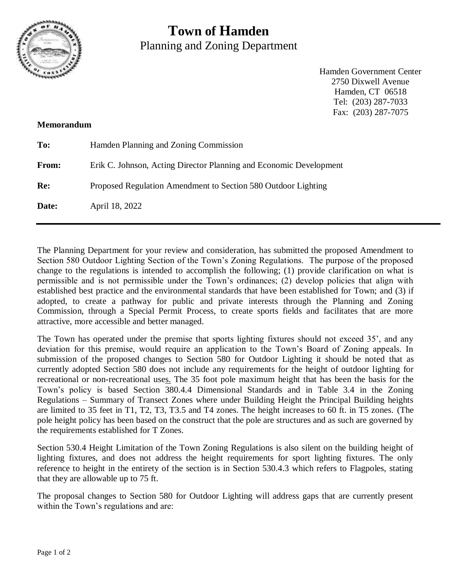

## **Town of Hamden** Planning and Zoning Department

Hamden Government Center 2750 Dixwell Avenue Hamden, CT 06518 Tel: (203) 287-7033 Fax: (203) 287-7075

## **Memorandum**

| To:   | Hamden Planning and Zoning Commission                              |
|-------|--------------------------------------------------------------------|
| From: | Erik C. Johnson, Acting Director Planning and Economic Development |
| Re:   | Proposed Regulation Amendment to Section 580 Outdoor Lighting      |
| Date: | April 18, 2022                                                     |

The Planning Department for your review and consideration, has submitted the proposed Amendment to Section 580 Outdoor Lighting Section of the Town's Zoning Regulations. The purpose of the proposed change to the regulations is intended to accomplish the following; (1) provide clarification on what is permissible and is not permissible under the Town's ordinances; (2) develop policies that align with established best practice and the environmental standards that have been established for Town; and (3) if adopted, to create a pathway for public and private interests through the Planning and Zoning Commission, through a Special Permit Process, to create sports fields and facilitates that are more attractive, more accessible and better managed.

The Town has operated under the premise that sports lighting fixtures should not exceed 35', and any deviation for this premise, would require an application to the Town's Board of Zoning appeals. In submission of the proposed changes to Section 580 for Outdoor Lighting it should be noted that as currently adopted Section 580 does not include any requirements for the height of outdoor lighting for recreational or non-recreational uses. The 35 foot pole maximum height that has been the basis for the Town's policy is based Section 380.4.4 Dimensional Standards and in Table 3.4 in the Zoning Regulations – Summary of Transect Zones where under Building Height the Principal Building heights are limited to 35 feet in T1, T2, T3, T3.5 and T4 zones. The height increases to 60 ft. in T5 zones. (The pole height policy has been based on the construct that the pole are structures and as such are governed by the requirements established for T Zones.

Section 530.4 Height Limitation of the Town Zoning Regulations is also silent on the building height of lighting fixtures, and does not address the height requirements for sport lighting fixtures. The only reference to height in the entirety of the section is in Section 530.4.3 which refers to Flagpoles, stating that they are allowable up to 75 ft.

The proposal changes to Section 580 for Outdoor Lighting will address gaps that are currently present within the Town's regulations and are: